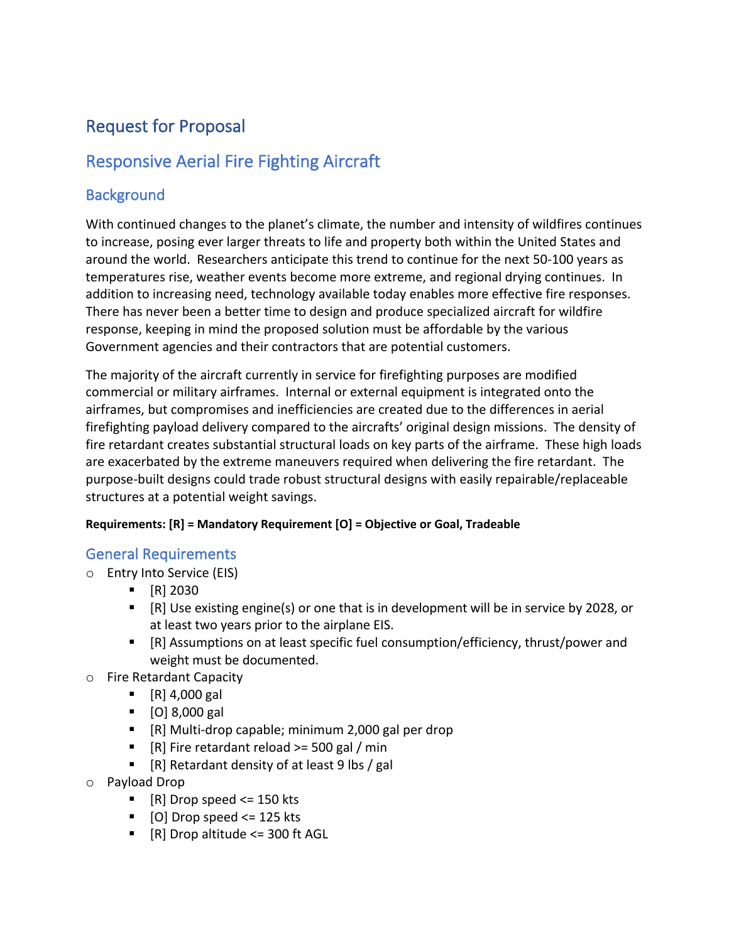# Request for Proposal

## Responsive Aerial Fire Fighting Aircraft

## **Background**

With continued changes to the planet's climate, the number and intensity of wildfires continues to increase, posing ever larger threats to life and property both within the United States and around the world. Researchers anticipate this trend to continue for the next 50-100 years as temperatures rise, weather events become more extreme, and regional drying continues. In addition to increasing need, technology available today enables more effective fire responses. There has never been a better time to design and produce specialized aircraft for wildfire response, keeping in mind the proposed solution must be affordable by the various Government agencies and their contractors that are potential customers.

The majority of the aircraft currently in service for firefighting purposes are modified commercial or military airframes. Internal or external equipment is integrated onto the airframes, but compromises and inefficiencies are created due to the differences in aerial firefighting payload delivery compared to the aircrafts' original design missions. The density of fire retardant creates substantial structural loads on key parts of the airframe. These high loads are exacerbated by the extreme maneuvers required when delivering the fire retardant. The purpose-built designs could trade robust structural designs with easily repairable/replaceable structures at a potential weight savings.

#### **Requirements: [R] = Mandatory Requirement [O] = Objective or Goal, Tradeable**

## General Requirements

- o Entry Into Service (EIS)
	- $\blacksquare$  [R] 2030
	- [R] Use existing engine(s) or one that is in development will be in service by 2028, or at least two years prior to the airplane EIS.
	- § [R] Assumptions on at least specific fuel consumption/efficiency, thrust/power and weight must be documented.
- o Fire Retardant Capacity
	- § [R] 4,000 gal
	- § [O] 8,000 gal
	- [R] Multi-drop capable; minimum 2,000 gal per drop
	- [R] Fire retardant reload >= 500 gal / min
	- [R] Retardant density of at least 9 lbs / gal
- o Payload Drop
	- $\blacksquare$  [R] Drop speed <= 150 kts
	- $\blacksquare$  [O] Drop speed <= 125 kts
	- [R] Drop altitude <= 300 ft AGL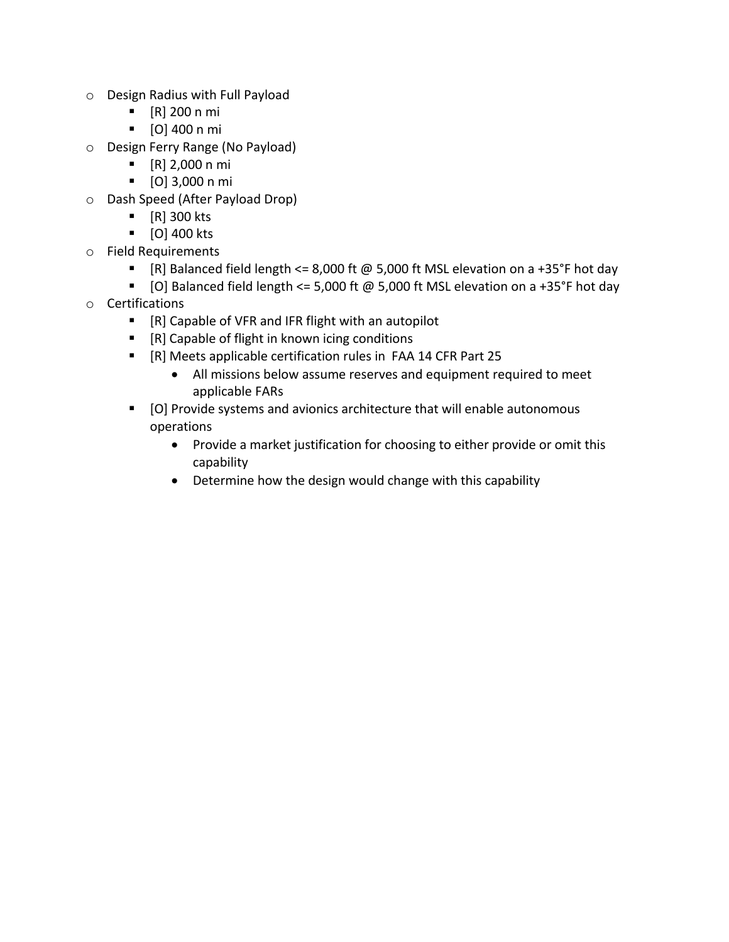- o Design Radius with Full Payload
	- § [R] 200 n mi
	- § [O] 400 n mi
- o Design Ferry Range (No Payload)
	- § [R] 2,000 n mi
	- § [O] 3,000 n mi
- o Dash Speed (After Payload Drop)
	- § [R] 300 kts
	- [O] 400 kts
- o Field Requirements
	- [R] Balanced field length <= 8,000 ft @ 5,000 ft MSL elevation on a +35°F hot day
	- [O] Balanced field length <= 5,000 ft @ 5,000 ft MSL elevation on a +35°F hot day
- o Certifications
	- [R] Capable of VFR and IFR flight with an autopilot
	- [R] Capable of flight in known icing conditions
	- § [R] Meets applicable certification rules in FAA 14 CFR Part 25
		- All missions below assume reserves and equipment required to meet applicable FARs
	- [O] Provide systems and avionics architecture that will enable autonomous operations
		- Provide a market justification for choosing to either provide or omit this capability
		- Determine how the design would change with this capability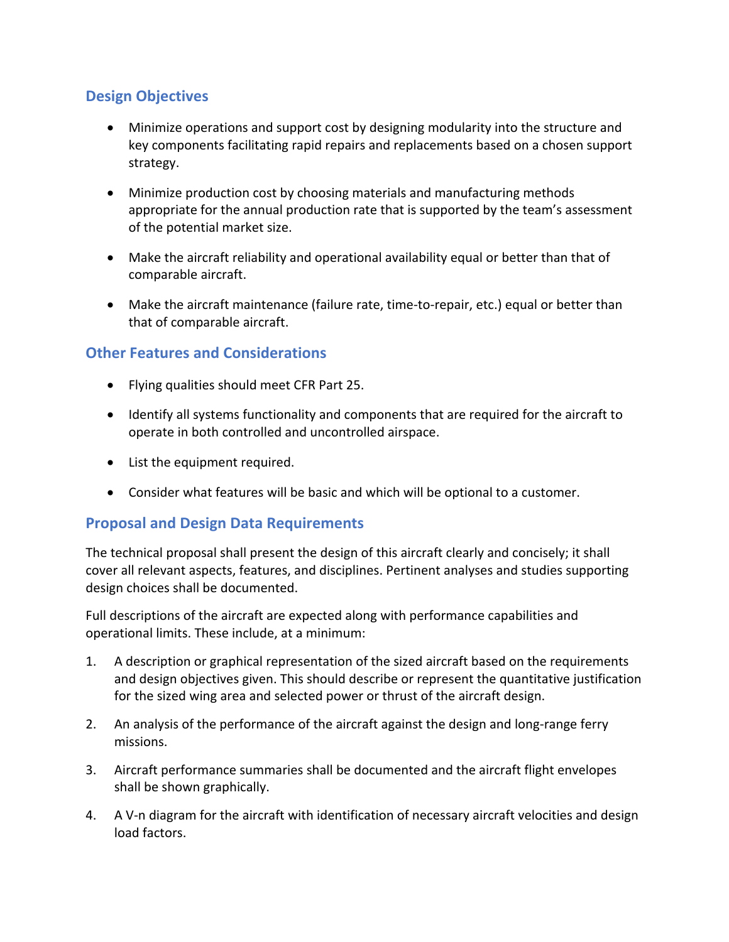## **Design Objectives**

- Minimize operations and support cost by designing modularity into the structure and key components facilitating rapid repairs and replacements based on a chosen support strategy.
- Minimize production cost by choosing materials and manufacturing methods appropriate for the annual production rate that is supported by the team's assessment of the potential market size.
- Make the aircraft reliability and operational availability equal or better than that of comparable aircraft.
- Make the aircraft maintenance (failure rate, time-to-repair, etc.) equal or better than that of comparable aircraft.

### **Other Features and Considerations**

- Flying qualities should meet CFR Part 25.
- Identify all systems functionality and components that are required for the aircraft to operate in both controlled and uncontrolled airspace.
- List the equipment required.
- Consider what features will be basic and which will be optional to a customer.

## **Proposal and Design Data Requirements**

The technical proposal shall present the design of this aircraft clearly and concisely; it shall cover all relevant aspects, features, and disciplines. Pertinent analyses and studies supporting design choices shall be documented.

Full descriptions of the aircraft are expected along with performance capabilities and operational limits. These include, at a minimum:

- 1. A description or graphical representation of the sized aircraft based on the requirements and design objectives given. This should describe or represent the quantitative justification for the sized wing area and selected power or thrust of the aircraft design.
- 2. An analysis of the performance of the aircraft against the design and long-range ferry missions.
- 3. Aircraft performance summaries shall be documented and the aircraft flight envelopes shall be shown graphically.
- 4. A V-n diagram for the aircraft with identification of necessary aircraft velocities and design load factors.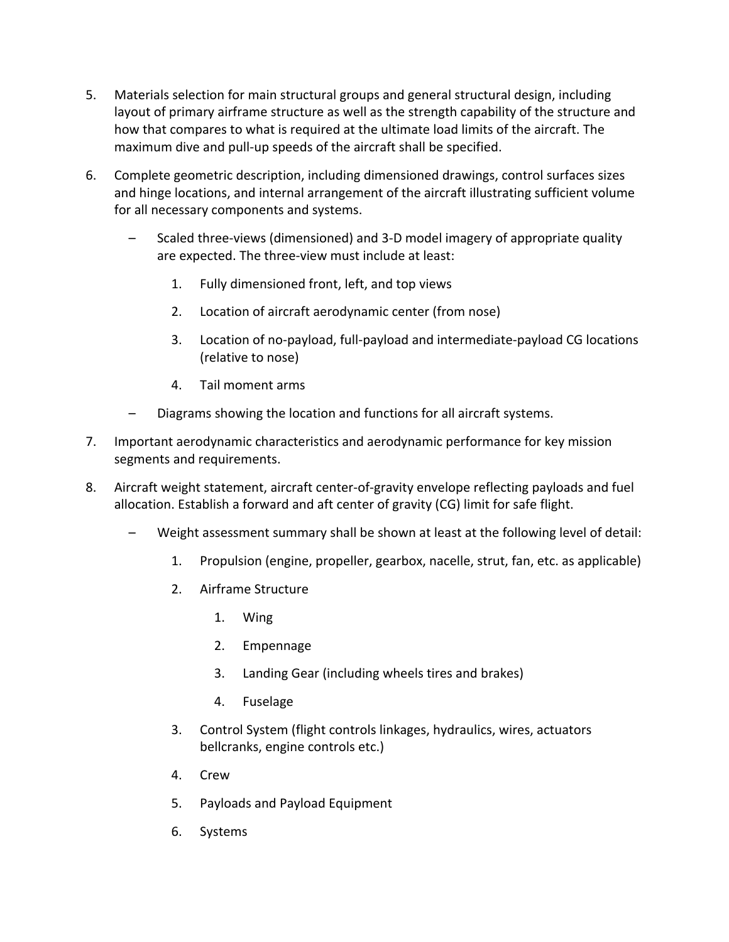- 5. Materials selection for main structural groups and general structural design, including layout of primary airframe structure as well as the strength capability of the structure and how that compares to what is required at the ultimate load limits of the aircraft. The maximum dive and pull-up speeds of the aircraft shall be specified.
- 6. Complete geometric description, including dimensioned drawings, control surfaces sizes and hinge locations, and internal arrangement of the aircraft illustrating sufficient volume for all necessary components and systems.
	- Scaled three-views (dimensioned) and 3-D model imagery of appropriate quality are expected. The three-view must include at least:
		- 1. Fully dimensioned front, left, and top views
		- 2. Location of aircraft aerodynamic center (from nose)
		- 3. Location of no-payload, full-payload and intermediate-payload CG locations (relative to nose)
		- 4. Tail moment arms
	- Diagrams showing the location and functions for all aircraft systems.
- 7. Important aerodynamic characteristics and aerodynamic performance for key mission segments and requirements.
- 8. Aircraft weight statement, aircraft center-of-gravity envelope reflecting payloads and fuel allocation. Establish a forward and aft center of gravity (CG) limit for safe flight.
	- Weight assessment summary shall be shown at least at the following level of detail:
		- 1. Propulsion (engine, propeller, gearbox, nacelle, strut, fan, etc. as applicable)
		- 2. Airframe Structure
			- 1. Wing
			- 2. Empennage
			- 3. Landing Gear (including wheels tires and brakes)
			- 4. Fuselage
		- 3. Control System (flight controls linkages, hydraulics, wires, actuators bellcranks, engine controls etc.)
		- 4. Crew
		- 5. Payloads and Payload Equipment
		- 6. Systems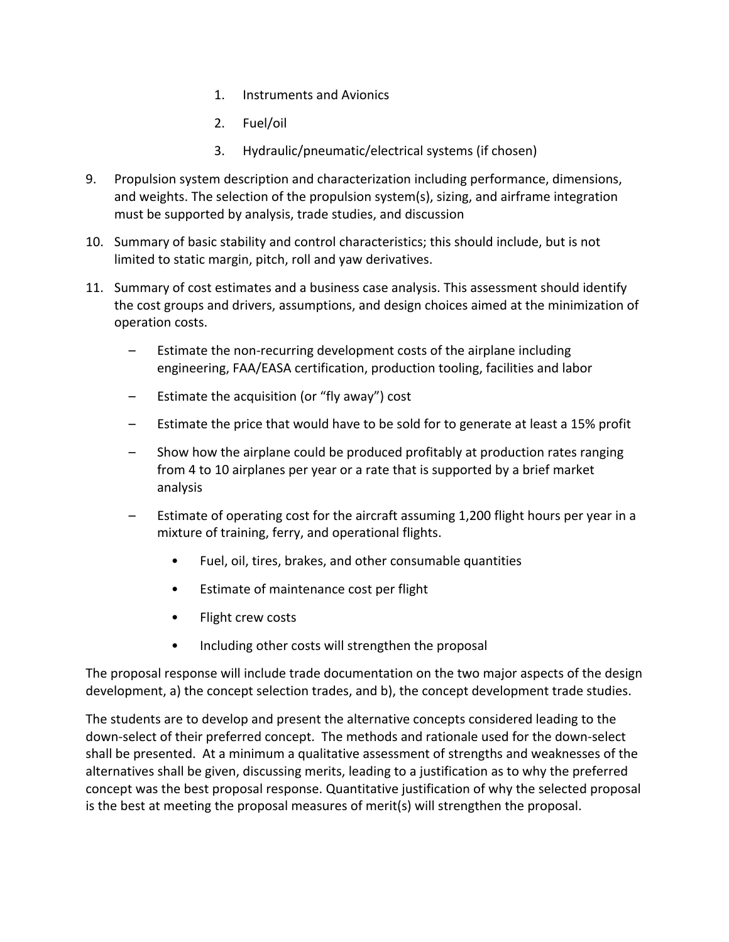- 1. Instruments and Avionics
- 2. Fuel/oil
- 3. Hydraulic/pneumatic/electrical systems (if chosen)
- 9. Propulsion system description and characterization including performance, dimensions, and weights. The selection of the propulsion system(s), sizing, and airframe integration must be supported by analysis, trade studies, and discussion
- 10. Summary of basic stability and control characteristics; this should include, but is not limited to static margin, pitch, roll and yaw derivatives.
- 11. Summary of cost estimates and a business case analysis. This assessment should identify the cost groups and drivers, assumptions, and design choices aimed at the minimization of operation costs.
	- Estimate the non-recurring development costs of the airplane including engineering, FAA/EASA certification, production tooling, facilities and labor
	- Estimate the acquisition (or "fly away") cost
	- Estimate the price that would have to be sold for to generate at least a 15% profit
	- Show how the airplane could be produced profitably at production rates ranging from 4 to 10 airplanes per year or a rate that is supported by a brief market analysis
	- Estimate of operating cost for the aircraft assuming 1,200 flight hours per year in a mixture of training, ferry, and operational flights.
		- Fuel, oil, tires, brakes, and other consumable quantities
		- Estimate of maintenance cost per flight
		- Flight crew costs
		- Including other costs will strengthen the proposal

The proposal response will include trade documentation on the two major aspects of the design development, a) the concept selection trades, and b), the concept development trade studies.

The students are to develop and present the alternative concepts considered leading to the down-select of their preferred concept. The methods and rationale used for the down-select shall be presented. At a minimum a qualitative assessment of strengths and weaknesses of the alternatives shall be given, discussing merits, leading to a justification as to why the preferred concept was the best proposal response. Quantitative justification of why the selected proposal is the best at meeting the proposal measures of merit(s) will strengthen the proposal.